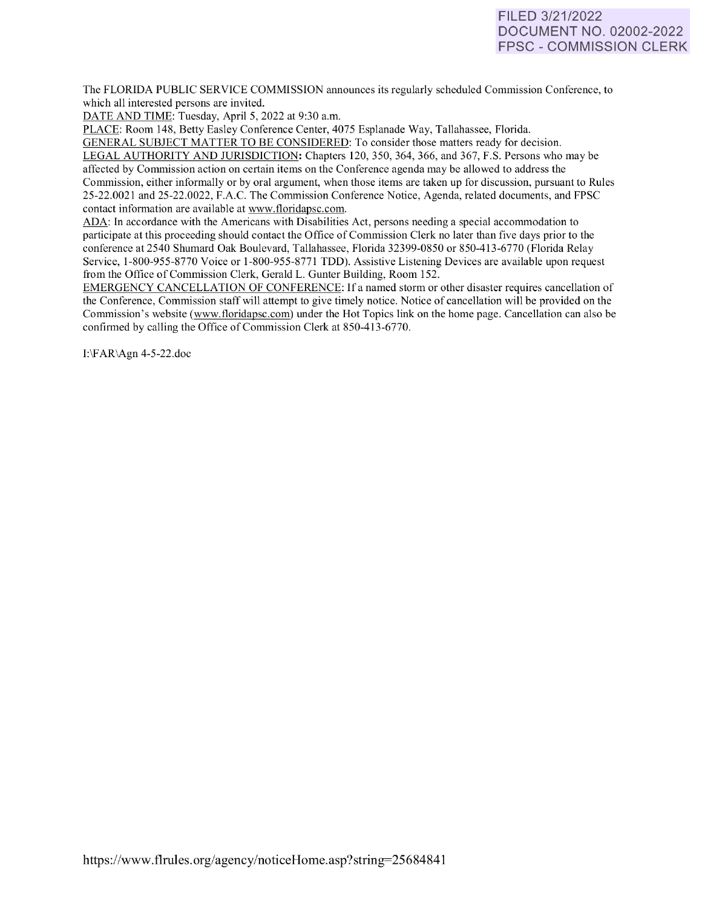# FILED 3/21/2022 DOCUMENT NO. 02002-2022 FPSC - COMMISSION CLERK

The FLORIDA PUBLIC SERVICE COMMISSION announces its regularly scheduled Commission Conference, to which all interested persons are invited.

DATE AND TIME: Tuesday, April 5, 2022 at 9:30 a.m.

PLACE: Room 148, Betty Easley Conference Center, 4075 Esplanade Way, Tallahassee, Florida.

GENERAL SUBJECT MATTER TO BE CONSIDERED: To consider those matters ready for decision. LEGAL AUTHORITY AND JURISDICTION: Chapters 120, 350, 364, 366, and 367, F.S. Persons who may be affected by Commission action on certain items on the Conference agenda may be allowed to address the Commission, either informally or by oral argument, when those items are taken up for discussion, pursuant to Rules 25-22.0021 and 25-22.0022, F.A.C. The Commission Conference Notice, Agenda, related documents, and FPSC contact information are available at [www.floridapsc.com.](http://www.floridapsc.com/) 

ADA: In accordance with the Americans with Disabilities Act, persons needing a special accommodation to participate at this proceeding should contact the Office of Commission Clerk no later than five days prior to the conference at 2540 Shumard Oak Boulevard, Tallahassee, Florida 32399-0850 or 850-41 3-6770 (Florida Relay Service, 1-800-955-8770 Voice or 1-800-955-8771 TDD). Assistive Listening Devices are available upon request from the Office of Commission Clerk, Gerald L. Gunter Building, Room 152.

EMERGENCY CANCELLATION OF CONFERENCE: If a named storm or other disaster requires cancellation of the Conference, Commission staff will attempt to give timely notice. Notice of cancellation will be provided on the Commission's website [\(www.floridapsc.com\)](http://www.floridapsc.com/) under the Hot Topics link on the home page. Cancellation can also be confirmed by calling the Office of Commission Clerk at 850-413-6770.

I:\FAR\Agn 4-5-22.doc